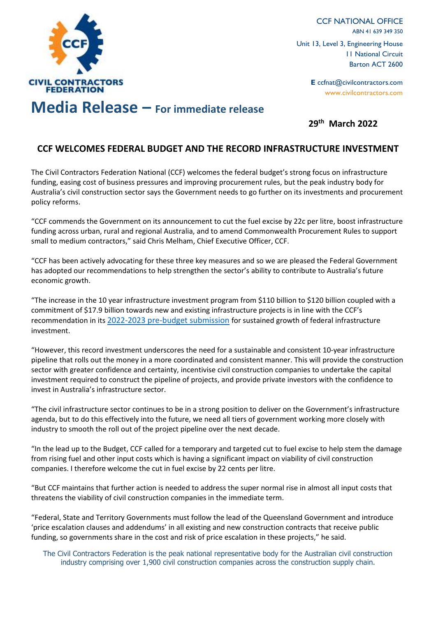

CCF NATIONAL OFFICE ABN 41 639 349 350 Unit 13, Level 3, Engineering House 11 National Circuit Barton ACT 2600

> **E** ccfnat@civilcontractors.com www.civilcontractors.com

## **Media Release – For immediate release**

## **29th March 2022**

## **CCF WELCOMES FEDERAL BUDGET AND THE RECORD INFRASTRUCTURE INVESTMENT**

The Civil Contractors Federation National (CCF) welcomes the federal budget's strong focus on infrastructure funding, easing cost of business pressures and improving procurement rules, but the peak industry body for Australia's civil construction sector says the Government needs to go further on its investments and procurement policy reforms.

"CCF commends the Government on its announcement to cut the fuel excise by 22c per litre, boost infrastructure funding across urban, rural and regional Australia, and to amend Commonwealth Procurement Rules to support small to medium contractors," said Chris Melham, Chief Executive Officer, CCF.

"CCF has been actively advocating for these three key measures and so we are pleased the Federal Government has adopted our recommendations to help strengthen the sector's ability to contribute to Australia's future economic growth.

"The increase in the 10 year infrastructure investment program from \$110 billion to \$120 billion coupled with a commitment of \$17.9 billion towards new and existing infrastructure projects is in line with the CCF's recommendation in its [2022-2023 pre-budget submission](https://www.civilcontractors.com/wp-content/uploads/2022/01/27-1-2022-Pre-Budget-Submission.pdf) for sustained growth of federal infrastructure investment.

"However, this record investment underscores the need for a sustainable and consistent 10-year infrastructure pipeline that rolls out the money in a more coordinated and consistent manner. This will provide the construction sector with greater confidence and certainty, incentivise civil construction companies to undertake the capital investment required to construct the pipeline of projects, and provide private investors with the confidence to invest in Australia's infrastructure sector.

"The civil infrastructure sector continues to be in a strong position to deliver on the Government's infrastructure agenda, but to do this effectively into the future, we need all tiers of government working more closely with industry to smooth the roll out of the project pipeline over the next decade.

"In the lead up to the Budget, CCF called for a temporary and targeted cut to fuel excise to help stem the damage from rising fuel and other input costs which is having a significant impact on viability of civil construction companies. I therefore welcome the cut in fuel excise by 22 cents per litre.

"But CCF maintains that further action is needed to address the super normal rise in almost all input costs that threatens the viability of civil construction companies in the immediate term.

"Federal, State and Territory Governments must follow the lead of the Queensland Government and introduce 'price escalation clauses and addendums' in all existing and new construction contracts that receive public funding, so governments share in the cost and risk of price escalation in these projects," he said.

The Civil Contractors Federation is the peak national representative body for the Australian civil construction industry comprising over 1,900 civil construction companies across the construction supply chain.